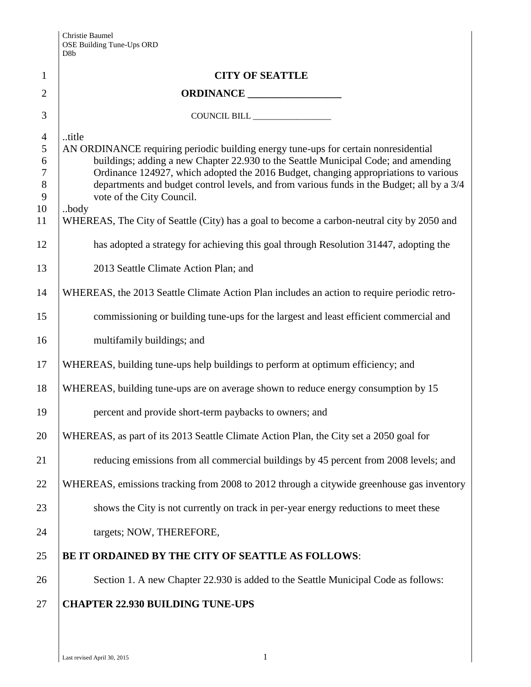|                | D <sub>8</sub> b                                                                                                                                                          |  |  |  |  |
|----------------|---------------------------------------------------------------------------------------------------------------------------------------------------------------------------|--|--|--|--|
| $\mathbf{1}$   | <b>CITY OF SEATTLE</b>                                                                                                                                                    |  |  |  |  |
| $\overline{2}$ |                                                                                                                                                                           |  |  |  |  |
| 3              | COUNCIL BILL _________________                                                                                                                                            |  |  |  |  |
| $\overline{4}$ | title                                                                                                                                                                     |  |  |  |  |
| 5              | AN ORDINANCE requiring periodic building energy tune-ups for certain nonresidential                                                                                       |  |  |  |  |
| 6<br>$\tau$    | buildings; adding a new Chapter 22.930 to the Seattle Municipal Code; and amending<br>Ordinance 124927, which adopted the 2016 Budget, changing appropriations to various |  |  |  |  |
| $8\,$          | departments and budget control levels, and from various funds in the Budget; all by a 3/4                                                                                 |  |  |  |  |
| 9              | vote of the City Council.                                                                                                                                                 |  |  |  |  |
| 10<br>11       | .body<br>WHEREAS, The City of Seattle (City) has a goal to become a carbon-neutral city by 2050 and                                                                       |  |  |  |  |
| 12             | has adopted a strategy for achieving this goal through Resolution 31447, adopting the                                                                                     |  |  |  |  |
| 13             | 2013 Seattle Climate Action Plan; and                                                                                                                                     |  |  |  |  |
| 14             | WHEREAS, the 2013 Seattle Climate Action Plan includes an action to require periodic retro-                                                                               |  |  |  |  |
| 15             | commissioning or building tune-ups for the largest and least efficient commercial and                                                                                     |  |  |  |  |
| 16             | multifamily buildings; and                                                                                                                                                |  |  |  |  |
| 17             | WHEREAS, building tune-ups help buildings to perform at optimum efficiency; and                                                                                           |  |  |  |  |
| 18             | WHEREAS, building tune-ups are on average shown to reduce energy consumption by 15                                                                                        |  |  |  |  |
| 19             | percent and provide short-term paybacks to owners; and                                                                                                                    |  |  |  |  |
| 20             | WHEREAS, as part of its 2013 Seattle Climate Action Plan, the City set a 2050 goal for                                                                                    |  |  |  |  |
| 21             | reducing emissions from all commercial buildings by 45 percent from 2008 levels; and                                                                                      |  |  |  |  |
| 22             | WHEREAS, emissions tracking from 2008 to 2012 through a citywide greenhouse gas inventory                                                                                 |  |  |  |  |
| 23             | shows the City is not currently on track in per-year energy reductions to meet these                                                                                      |  |  |  |  |
| 24             | targets; NOW, THEREFORE,                                                                                                                                                  |  |  |  |  |
| 25             | BE IT ORDAINED BY THE CITY OF SEATTLE AS FOLLOWS:                                                                                                                         |  |  |  |  |
| 26             | Section 1. A new Chapter 22.930 is added to the Seattle Municipal Code as follows:                                                                                        |  |  |  |  |
| 27             | <b>CHAPTER 22.930 BUILDING TUNE-UPS</b>                                                                                                                                   |  |  |  |  |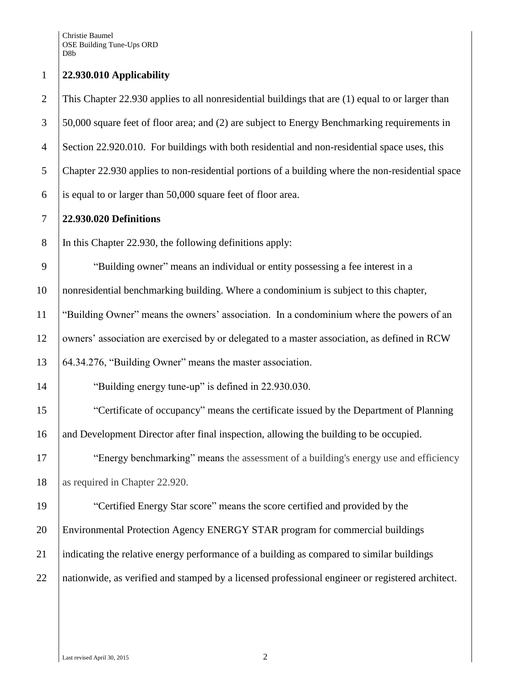| $\mathbf{1}$   | 22.930.010 Applicability                                                                         |
|----------------|--------------------------------------------------------------------------------------------------|
| $\overline{2}$ | This Chapter 22.930 applies to all nonresidential buildings that are (1) equal to or larger than |
| 3              | 50,000 square feet of floor area; and (2) are subject to Energy Benchmarking requirements in     |
| $\overline{4}$ | Section 22.920.010. For buildings with both residential and non-residential space uses, this     |
| 5              | Chapter 22.930 applies to non-residential portions of a building where the non-residential space |
| 6              | is equal to or larger than 50,000 square feet of floor area.                                     |
| 7              | 22.930.020 Definitions                                                                           |
| $8\,$          | In this Chapter 22.930, the following definitions apply:                                         |
| 9              | "Building owner" means an individual or entity possessing a fee interest in a                    |
| 10             | nonresidential benchmarking building. Where a condominium is subject to this chapter,            |
| 11             | "Building Owner" means the owners' association. In a condominium where the powers of an          |
| 12             | owners' association are exercised by or delegated to a master association, as defined in RCW     |
| 13             | 64.34.276, "Building Owner" means the master association.                                        |
| 14             | "Building energy tune-up" is defined in 22.930.030.                                              |
| 15             | "Certificate of occupancy" means the certificate issued by the Department of Planning            |
| 16             | and Development Director after final inspection, allowing the building to be occupied.           |
| 17             | "Energy benchmarking" means the assessment of a building's energy use and efficiency             |
| 18             | as required in Chapter 22.920.                                                                   |
| 19             | "Certified Energy Star score" means the score certified and provided by the                      |
| 20             | Environmental Protection Agency ENERGY STAR program for commercial buildings                     |
| 21             | indicating the relative energy performance of a building as compared to similar buildings        |
| 22             | nationwide, as verified and stamped by a licensed professional engineer or registered architect. |
|                |                                                                                                  |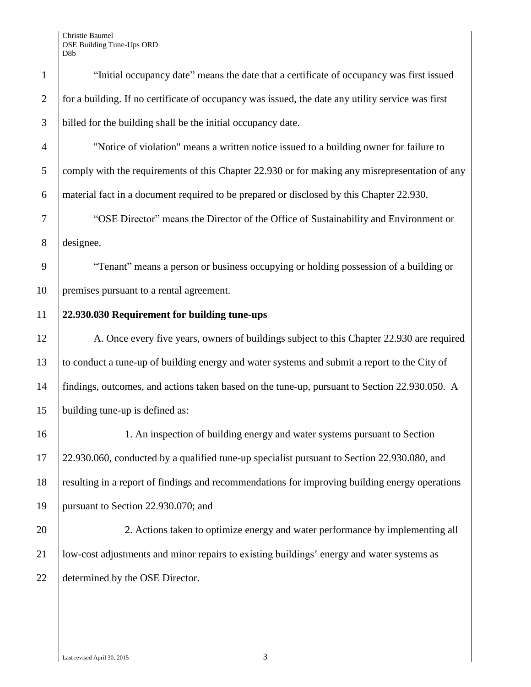| $\mathbf{1}$   | "Initial occupancy date" means the date that a certificate of occupancy was first issued          |  |  |  |
|----------------|---------------------------------------------------------------------------------------------------|--|--|--|
| $\overline{2}$ | for a building. If no certificate of occupancy was issued, the date any utility service was first |  |  |  |
| 3              | billed for the building shall be the initial occupancy date.                                      |  |  |  |
| $\overline{4}$ | "Notice of violation" means a written notice issued to a building owner for failure to            |  |  |  |
| 5              | comply with the requirements of this Chapter 22.930 or for making any misrepresentation of any    |  |  |  |
| 6              | material fact in a document required to be prepared or disclosed by this Chapter 22.930.          |  |  |  |
| 7              | "OSE Director" means the Director of the Office of Sustainability and Environment or              |  |  |  |
| 8              | designee.                                                                                         |  |  |  |
| 9              | "Tenant" means a person or business occupying or holding possession of a building or              |  |  |  |
| 10             | premises pursuant to a rental agreement.                                                          |  |  |  |
| 11             | 22.930.030 Requirement for building tune-ups                                                      |  |  |  |
| 12             | A. Once every five years, owners of buildings subject to this Chapter 22.930 are required         |  |  |  |
| 13             | to conduct a tune-up of building energy and water systems and submit a report to the City of      |  |  |  |
| 14             | findings, outcomes, and actions taken based on the tune-up, pursuant to Section 22.930.050. A     |  |  |  |
| 15             | building tune-up is defined as:                                                                   |  |  |  |
| 16             | 1. An inspection of building energy and water systems pursuant to Section                         |  |  |  |
| 17             | 22.930.060, conducted by a qualified tune-up specialist pursuant to Section 22.930.080, and       |  |  |  |
| 18             | resulting in a report of findings and recommendations for improving building energy operations    |  |  |  |
| 19             | pursuant to Section 22.930.070; and                                                               |  |  |  |
| 20             | 2. Actions taken to optimize energy and water performance by implementing all                     |  |  |  |
| 21             | low-cost adjustments and minor repairs to existing buildings' energy and water systems as         |  |  |  |
| 22             | determined by the OSE Director.                                                                   |  |  |  |
|                |                                                                                                   |  |  |  |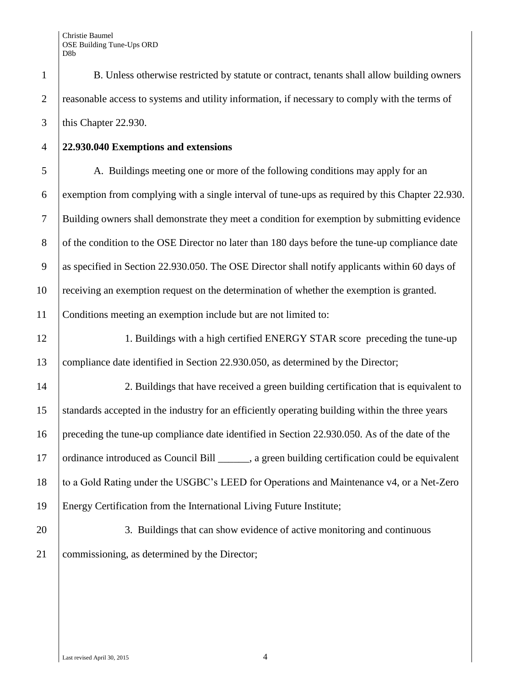1 B. Unless otherwise restricted by statute or contract, tenants shall allow building owners 2 reasonable access to systems and utility information, if necessary to comply with the terms of 3 this Chapter 22.930.

4 **22.930.040 Exemptions and extensions**

 A. Buildings meeting one or more of the following conditions may apply for an exemption from complying with a single interval of tune-ups as required by this Chapter 22.930. Building owners shall demonstrate they meet a condition for exemption by submitting evidence 8 of the condition to the OSE Director no later than 180 days before the tune-up compliance date as specified in Section 22.930.050. The OSE Director shall notify applicants within 60 days of receiving an exemption request on the determination of whether the exemption is granted. Conditions meeting an exemption include but are not limited to:

12 1. Buildings with a high certified ENERGY STAR score preceding the tune-up 13 compliance date identified in Section 22.930.050, as determined by the Director;

14 2. Buildings that have received a green building certification that is equivalent to standards accepted in the industry for an efficiently operating building within the three years preceding the tune-up compliance date identified in Section 22.930.050. As of the date of the 17 | ordinance introduced as Council Bill \_\_\_\_\_\_, a green building certification could be equivalent to a Gold Rating under the USGBC's LEED for Operations and Maintenance v4, or a Net-Zero Energy Certification from the International Living Future Institute;

20 3. Buildings that can show evidence of active monitoring and continuous 21 commissioning, as determined by the Director;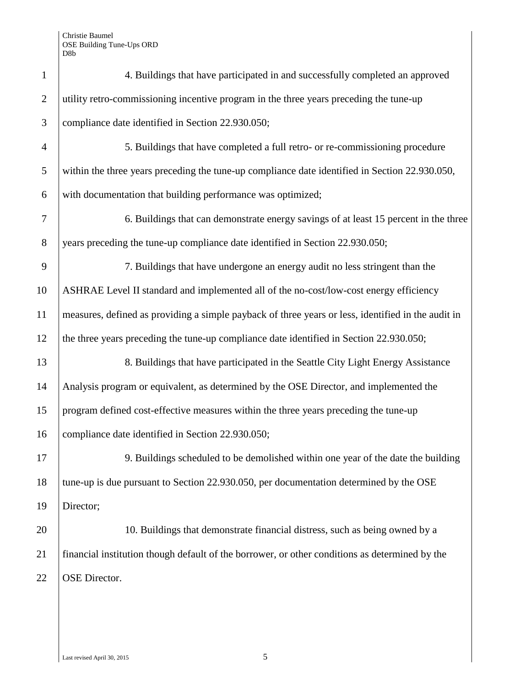| $\mathbf{1}$   | 4. Buildings that have participated in and successfully completed an approved                      |  |  |  |  |
|----------------|----------------------------------------------------------------------------------------------------|--|--|--|--|
| $\overline{2}$ | utility retro-commissioning incentive program in the three years preceding the tune-up             |  |  |  |  |
| 3              | compliance date identified in Section 22.930.050;                                                  |  |  |  |  |
| $\overline{4}$ | 5. Buildings that have completed a full retro- or re-commissioning procedure                       |  |  |  |  |
| 5              | within the three years preceding the tune-up compliance date identified in Section 22.930.050,     |  |  |  |  |
| 6              | with documentation that building performance was optimized;                                        |  |  |  |  |
| 7              | 6. Buildings that can demonstrate energy savings of at least 15 percent in the three               |  |  |  |  |
| 8              | years preceding the tune-up compliance date identified in Section 22.930.050;                      |  |  |  |  |
| 9              | 7. Buildings that have undergone an energy audit no less stringent than the                        |  |  |  |  |
| 10             | ASHRAE Level II standard and implemented all of the no-cost/low-cost energy efficiency             |  |  |  |  |
| 11             | measures, defined as providing a simple payback of three years or less, identified in the audit in |  |  |  |  |
| 12             | the three years preceding the tune-up compliance date identified in Section 22.930.050;            |  |  |  |  |
| 13             | 8. Buildings that have participated in the Seattle City Light Energy Assistance                    |  |  |  |  |
| 14             | Analysis program or equivalent, as determined by the OSE Director, and implemented the             |  |  |  |  |
| 15             | program defined cost-effective measures within the three years preceding the tune-up               |  |  |  |  |
| 16             | compliance date identified in Section 22.930.050;                                                  |  |  |  |  |
| 17             | 9. Buildings scheduled to be demolished within one year of the date the building                   |  |  |  |  |
| 18             | tune-up is due pursuant to Section 22.930.050, per documentation determined by the OSE             |  |  |  |  |
| 19             | Director;                                                                                          |  |  |  |  |
| 20             | 10. Buildings that demonstrate financial distress, such as being owned by a                        |  |  |  |  |
| 21             | financial institution though default of the borrower, or other conditions as determined by the     |  |  |  |  |
| 22             | OSE Director.                                                                                      |  |  |  |  |
|                |                                                                                                    |  |  |  |  |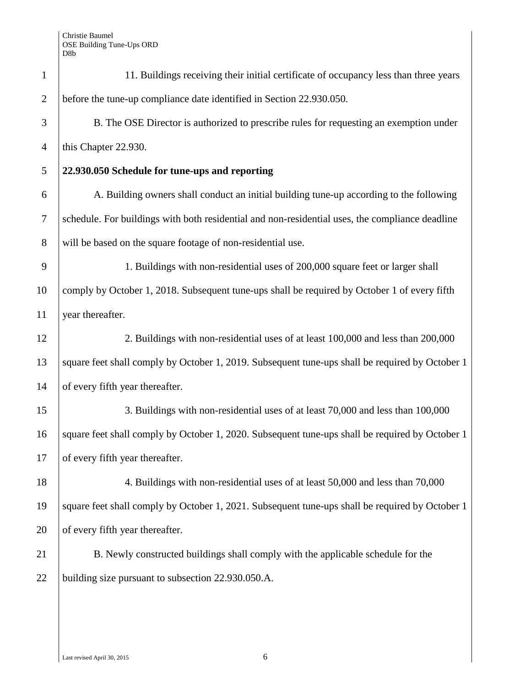| $\mathbf{1}$     | 11. Buildings receiving their initial certificate of occupancy less than three years            |  |  |  |
|------------------|-------------------------------------------------------------------------------------------------|--|--|--|
| $\overline{2}$   | before the tune-up compliance date identified in Section 22.930.050.                            |  |  |  |
| 3                | B. The OSE Director is authorized to prescribe rules for requesting an exemption under          |  |  |  |
| $\overline{4}$   | this Chapter 22.930.                                                                            |  |  |  |
| 5                | 22.930.050 Schedule for tune-ups and reporting                                                  |  |  |  |
| 6                | A. Building owners shall conduct an initial building tune-up according to the following         |  |  |  |
| $\boldsymbol{7}$ | schedule. For buildings with both residential and non-residential uses, the compliance deadline |  |  |  |
| 8                | will be based on the square footage of non-residential use.                                     |  |  |  |
| 9                | 1. Buildings with non-residential uses of 200,000 square feet or larger shall                   |  |  |  |
| 10               | comply by October 1, 2018. Subsequent tune-ups shall be required by October 1 of every fifth    |  |  |  |
| 11               | year thereafter.                                                                                |  |  |  |
| 12               | 2. Buildings with non-residential uses of at least 100,000 and less than 200,000                |  |  |  |
| 13               | square feet shall comply by October 1, 2019. Subsequent tune-ups shall be required by October 1 |  |  |  |
| 14               | of every fifth year thereafter.                                                                 |  |  |  |
| 15               | 3. Buildings with non-residential uses of at least 70,000 and less than 100,000                 |  |  |  |
| 16               | square feet shall comply by October 1, 2020. Subsequent tune-ups shall be required by October 1 |  |  |  |
| 17               | of every fifth year thereafter.                                                                 |  |  |  |
| 18               | 4. Buildings with non-residential uses of at least 50,000 and less than 70,000                  |  |  |  |
| 19               | square feet shall comply by October 1, 2021. Subsequent tune-ups shall be required by October 1 |  |  |  |
| 20               | of every fifth year thereafter.                                                                 |  |  |  |
| 21               | B. Newly constructed buildings shall comply with the applicable schedule for the                |  |  |  |
| 22               | building size pursuant to subsection 22.930.050.A.                                              |  |  |  |
|                  |                                                                                                 |  |  |  |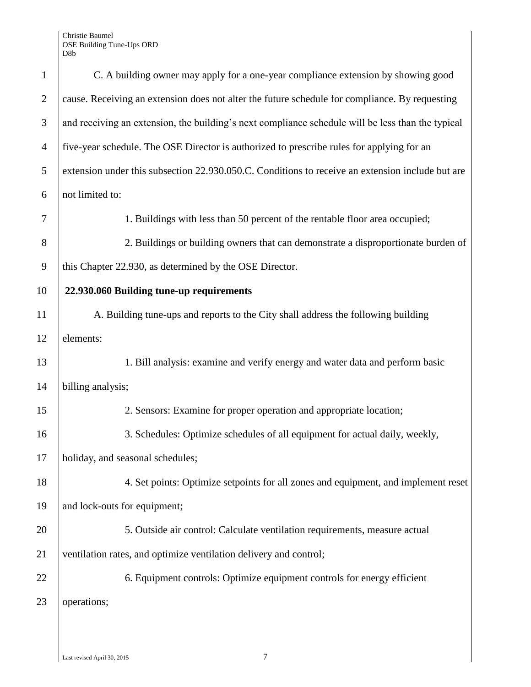| $\mathbf{1}$   | C. A building owner may apply for a one-year compliance extension by showing good                 |  |  |  |  |
|----------------|---------------------------------------------------------------------------------------------------|--|--|--|--|
| $\overline{2}$ | cause. Receiving an extension does not alter the future schedule for compliance. By requesting    |  |  |  |  |
| 3              | and receiving an extension, the building's next compliance schedule will be less than the typical |  |  |  |  |
| $\overline{4}$ | five-year schedule. The OSE Director is authorized to prescribe rules for applying for an         |  |  |  |  |
| 5              | extension under this subsection 22.930.050.C. Conditions to receive an extension include but are  |  |  |  |  |
| 6              | not limited to:                                                                                   |  |  |  |  |
| 7              | 1. Buildings with less than 50 percent of the rentable floor area occupied;                       |  |  |  |  |
| 8              | 2. Buildings or building owners that can demonstrate a disproportionate burden of                 |  |  |  |  |
| 9              | this Chapter 22.930, as determined by the OSE Director.                                           |  |  |  |  |
| 10             | 22.930.060 Building tune-up requirements                                                          |  |  |  |  |
| 11             | A. Building tune-ups and reports to the City shall address the following building                 |  |  |  |  |
| 12             | elements:                                                                                         |  |  |  |  |
| 13             | 1. Bill analysis: examine and verify energy and water data and perform basic                      |  |  |  |  |
| 14             | billing analysis;                                                                                 |  |  |  |  |
| 15             | 2. Sensors: Examine for proper operation and appropriate location;                                |  |  |  |  |
| 16             | 3. Schedules: Optimize schedules of all equipment for actual daily, weekly,                       |  |  |  |  |
| 17             | holiday, and seasonal schedules;                                                                  |  |  |  |  |
| 18             | 4. Set points: Optimize setpoints for all zones and equipment, and implement reset                |  |  |  |  |
| 19             | and lock-outs for equipment;                                                                      |  |  |  |  |
| 20             | 5. Outside air control: Calculate ventilation requirements, measure actual                        |  |  |  |  |
| 21             | ventilation rates, and optimize ventilation delivery and control;                                 |  |  |  |  |
| 22             | 6. Equipment controls: Optimize equipment controls for energy efficient                           |  |  |  |  |
| 23             | operations;                                                                                       |  |  |  |  |
|                |                                                                                                   |  |  |  |  |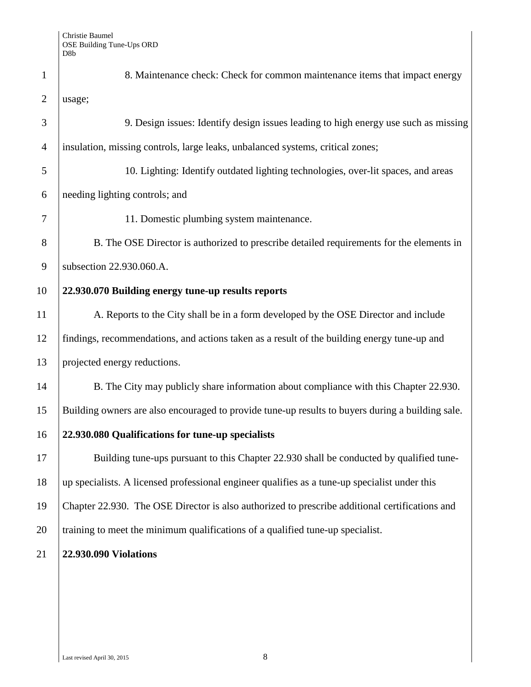| $\mathbf{1}$   | 8. Maintenance check: Check for common maintenance items that impact energy                      |  |  |  |  |
|----------------|--------------------------------------------------------------------------------------------------|--|--|--|--|
| $\overline{2}$ | usage;                                                                                           |  |  |  |  |
| 3              | 9. Design issues: Identify design issues leading to high energy use such as missing              |  |  |  |  |
| $\overline{4}$ | insulation, missing controls, large leaks, unbalanced systems, critical zones;                   |  |  |  |  |
| 5              | 10. Lighting: Identify outdated lighting technologies, over-lit spaces, and areas                |  |  |  |  |
| 6              | needing lighting controls; and                                                                   |  |  |  |  |
| 7              | 11. Domestic plumbing system maintenance.                                                        |  |  |  |  |
| 8              | B. The OSE Director is authorized to prescribe detailed requirements for the elements in         |  |  |  |  |
| 9              | subsection 22.930.060.A.                                                                         |  |  |  |  |
| 10             | 22.930.070 Building energy tune-up results reports                                               |  |  |  |  |
| 11             | A. Reports to the City shall be in a form developed by the OSE Director and include              |  |  |  |  |
| 12             | findings, recommendations, and actions taken as a result of the building energy tune-up and      |  |  |  |  |
| 13             | projected energy reductions.                                                                     |  |  |  |  |
| 14             | B. The City may publicly share information about compliance with this Chapter 22.930.            |  |  |  |  |
| 15             | Building owners are also encouraged to provide tune-up results to buyers during a building sale. |  |  |  |  |
| 16             | 22.930.080 Qualifications for tune-up specialists                                                |  |  |  |  |
| 17             | Building tune-ups pursuant to this Chapter 22.930 shall be conducted by qualified tune-          |  |  |  |  |
| 18             | up specialists. A licensed professional engineer qualifies as a tune-up specialist under this    |  |  |  |  |
| 19             | Chapter 22.930. The OSE Director is also authorized to prescribe additional certifications and   |  |  |  |  |
| 20             | training to meet the minimum qualifications of a qualified tune-up specialist.                   |  |  |  |  |
| 21             | 22.930.090 Violations                                                                            |  |  |  |  |
|                |                                                                                                  |  |  |  |  |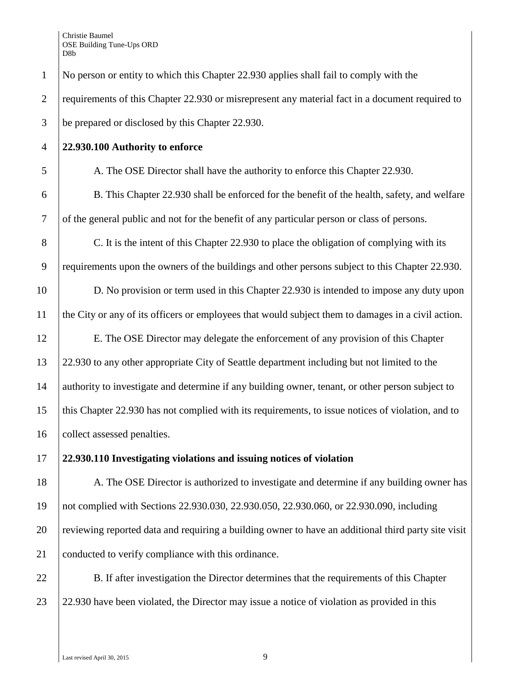Christie Baumel OSE Building Tune-Ups ORD D8b

1 No person or entity to which this Chapter 22.930 applies shall fail to comply with the 2 requirements of this Chapter 22.930 or misrepresent any material fact in a document required to 3 be prepared or disclosed by this Chapter 22.930.

#### 4 **22.930.100 Authority to enforce**

5 A. The OSE Director shall have the authority to enforce this Chapter 22.930.

6 B. This Chapter 22.930 shall be enforced for the benefit of the health, safety, and welfare 7 of the general public and not for the benefit of any particular person or class of persons.

8 C. It is the intent of this Chapter 22.930 to place the obligation of complying with its 9 requirements upon the owners of the buildings and other persons subject to this Chapter 22.930.

10 D. No provision or term used in this Chapter 22.930 is intended to impose any duty upon 11 the City or any of its officers or employees that would subject them to damages in a civil action.

12 E. The OSE Director may delegate the enforcement of any provision of this Chapter 13 22.930 to any other appropriate City of Seattle department including but not limited to the 14 authority to investigate and determine if any building owner, tenant, or other person subject to 15 this Chapter 22.930 has not complied with its requirements, to issue notices of violation, and to 16 collect assessed penalties.

17 **22.930.110 Investigating violations and issuing notices of violation** 

18 A. The OSE Director is authorized to investigate and determine if any building owner has 19 not complied with Sections 22.930.030, 22.930.050, 22.930.060, or 22.930.090, including 20 reviewing reported data and requiring a building owner to have an additional third party site visit 21 conducted to verify compliance with this ordinance.

22 B. If after investigation the Director determines that the requirements of this Chapter 23 22.930 have been violated, the Director may issue a notice of violation as provided in this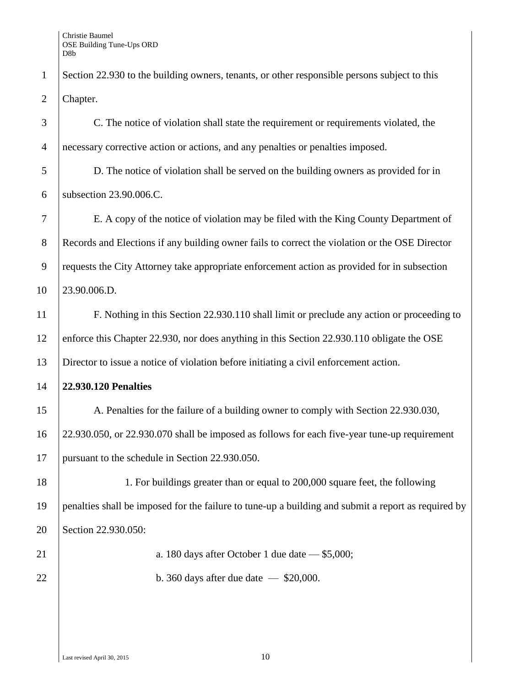1 Section 22.930 to the building owners, tenants, or other responsible persons subject to this 2 Chapter.

 C. The notice of violation shall state the requirement or requirements violated, the necessary corrective action or actions, and any penalties or penalties imposed.

 D. The notice of violation shall be served on the building owners as provided for in subsection 23.90.006.C.

 E. A copy of the notice of violation may be filed with the King County Department of 8 Records and Elections if any building owner fails to correct the violation or the OSE Director requests the City Attorney take appropriate enforcement action as provided for in subsection 23.90.006.D.

 F. Nothing in this Section 22.930.110 shall limit or preclude any action or proceeding to 12 enforce this Chapter 22.930, nor does anything in this Section 22.930.110 obligate the OSE Director to issue a notice of violation before initiating a civil enforcement action.

# **22.930.120 Penalties**

15 A. Penalties for the failure of a building owner to comply with Section 22.930.030, 22.930.050, or 22.930.070 shall be imposed as follows for each five-year tune-up requirement pursuant to the schedule in Section 22.930.050.

 1. For buildings greater than or equal to 200,000 square feet, the following penalties shall be imposed for the failure to tune-up a building and submit a report as required by Section 22.930.050:

21 a. 180 days after October 1 due date — \$5,000;

22 b. 360 days after due date  $-$  \$20,000.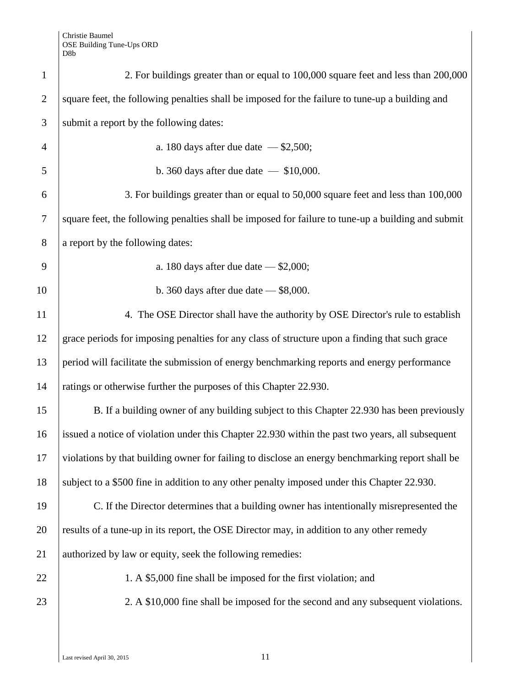| $\mathbf{1}$   | 2. For buildings greater than or equal to 100,000 square feet and less than 200,000                |  |  |  |
|----------------|----------------------------------------------------------------------------------------------------|--|--|--|
| $\overline{2}$ | square feet, the following penalties shall be imposed for the failure to tune-up a building and    |  |  |  |
| 3              | submit a report by the following dates:                                                            |  |  |  |
| $\overline{4}$ | a. 180 days after due date $-$ \$2,500;                                                            |  |  |  |
| 5              | b. 360 days after due date $-$ \$10,000.                                                           |  |  |  |
| 6              | 3. For buildings greater than or equal to 50,000 square feet and less than 100,000                 |  |  |  |
| $\tau$         | square feet, the following penalties shall be imposed for failure to tune-up a building and submit |  |  |  |
| 8              | a report by the following dates:                                                                   |  |  |  |
| 9              | a. 180 days after due date $-$ \$2,000;                                                            |  |  |  |
| 10             | b. 360 days after due date $-$ \$8,000.                                                            |  |  |  |
| 11             | 4. The OSE Director shall have the authority by OSE Director's rule to establish                   |  |  |  |
| 12             | grace periods for imposing penalties for any class of structure upon a finding that such grace     |  |  |  |
| 13             | period will facilitate the submission of energy benchmarking reports and energy performance        |  |  |  |
| 14             | ratings or otherwise further the purposes of this Chapter 22.930.                                  |  |  |  |
| 15             | B. If a building owner of any building subject to this Chapter 22.930 has been previously          |  |  |  |
| 16             | issued a notice of violation under this Chapter 22.930 within the past two years, all subsequent   |  |  |  |
| 17             | violations by that building owner for failing to disclose an energy benchmarking report shall be   |  |  |  |
| 18             | subject to a \$500 fine in addition to any other penalty imposed under this Chapter 22.930.        |  |  |  |
| 19             | C. If the Director determines that a building owner has intentionally misrepresented the           |  |  |  |
| 20             | results of a tune-up in its report, the OSE Director may, in addition to any other remedy          |  |  |  |
| 21             | authorized by law or equity, seek the following remedies:                                          |  |  |  |
| 22             | 1. A \$5,000 fine shall be imposed for the first violation; and                                    |  |  |  |
| 23             | 2. A \$10,000 fine shall be imposed for the second and any subsequent violations.                  |  |  |  |
|                |                                                                                                    |  |  |  |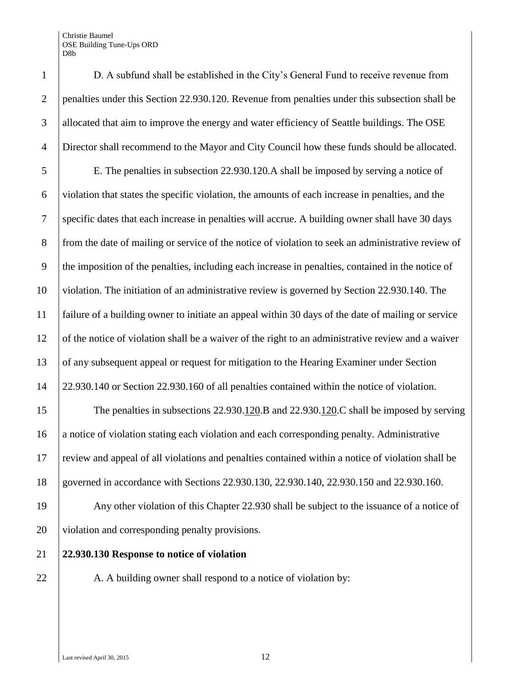Christie Baumel OSE Building Tune-Ups ORD

|                | D8b                                                                                                |
|----------------|----------------------------------------------------------------------------------------------------|
| $\mathbf{1}$   | D. A subfund shall be established in the City's General Fund to receive revenue from               |
| $\overline{2}$ | penalties under this Section 22.930.120. Revenue from penalties under this subsection shall be     |
| 3              | allocated that aim to improve the energy and water efficiency of Seattle buildings. The OSE        |
| $\overline{4}$ | Director shall recommend to the Mayor and City Council how these funds should be allocated.        |
| 5              | E. The penalties in subsection 22.930.120.A shall be imposed by serving a notice of                |
| 6              | violation that states the specific violation, the amounts of each increase in penalties, and the   |
| $\tau$         | specific dates that each increase in penalties will accrue. A building owner shall have 30 days    |
| 8              | from the date of mailing or service of the notice of violation to seek an administrative review of |
| 9              | the imposition of the penalties, including each increase in penalties, contained in the notice of  |
| 10             | violation. The initiation of an administrative review is governed by Section 22.930.140. The       |
| 11             | failure of a building owner to initiate an appeal within 30 days of the date of mailing or service |
| 12             | of the notice of violation shall be a waiver of the right to an administrative review and a waiver |
| 13             | of any subsequent appeal or request for mitigation to the Hearing Examiner under Section           |
| 14             | 22.930.140 or Section 22.930.160 of all penalties contained within the notice of violation.        |
| 15             | The penalties in subsections $22.930.120$ . B and $22.930.120$ . C shall be imposed by serving     |
| 16             | a notice of violation stating each violation and each corresponding penalty. Administrative        |
| 17             | review and appeal of all violations and penalties contained within a notice of violation shall be  |
| 18             | governed in accordance with Sections 22.930.130, 22.930.140, 22.930.150 and 22.930.160.            |
| 19             | Any other violation of this Chapter 22.930 shall be subject to the issuance of a notice of         |
| 20             | violation and corresponding penalty provisions.                                                    |
| 21             | 22.930.130 Response to notice of violation                                                         |
| 22             | A. A building owner shall respond to a notice of violation by:                                     |

Last revised April 30, 2015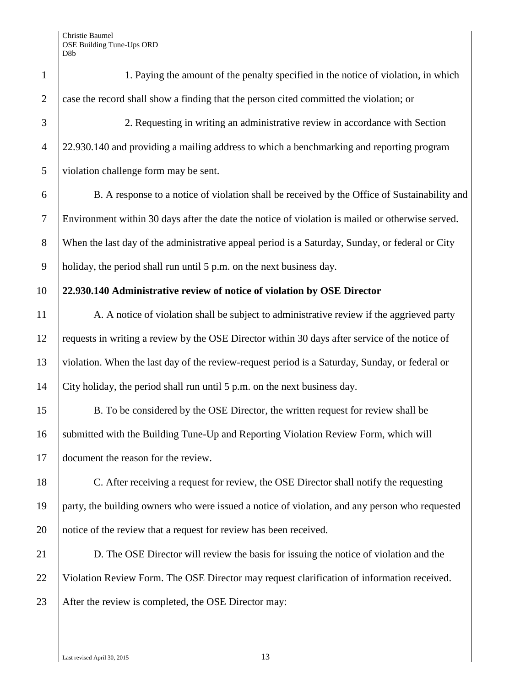| $\mathbf{1}$   | 1. Paying the amount of the penalty specified in the notice of violation, in which               |  |  |  |  |
|----------------|--------------------------------------------------------------------------------------------------|--|--|--|--|
| $\overline{2}$ | case the record shall show a finding that the person cited committed the violation; or           |  |  |  |  |
| 3              | 2. Requesting in writing an administrative review in accordance with Section                     |  |  |  |  |
| $\overline{4}$ | 22.930.140 and providing a mailing address to which a benchmarking and reporting program         |  |  |  |  |
| 5              | violation challenge form may be sent.                                                            |  |  |  |  |
| 6              | B. A response to a notice of violation shall be received by the Office of Sustainability and     |  |  |  |  |
| $\tau$         | Environment within 30 days after the date the notice of violation is mailed or otherwise served. |  |  |  |  |
| 8              | When the last day of the administrative appeal period is a Saturday, Sunday, or federal or City  |  |  |  |  |
| 9              | holiday, the period shall run until 5 p.m. on the next business day.                             |  |  |  |  |
| 10             | 22.930.140 Administrative review of notice of violation by OSE Director                          |  |  |  |  |
| 11             | A. A notice of violation shall be subject to administrative review if the aggrieved party        |  |  |  |  |
| 12             | requests in writing a review by the OSE Director within 30 days after service of the notice of   |  |  |  |  |
| 13             | violation. When the last day of the review-request period is a Saturday, Sunday, or federal or   |  |  |  |  |
| 14             | City holiday, the period shall run until 5 p.m. on the next business day.                        |  |  |  |  |
| 15             | B. To be considered by the OSE Director, the written request for review shall be                 |  |  |  |  |
| 16             | submitted with the Building Tune-Up and Reporting Violation Review Form, which will              |  |  |  |  |
| 17             | document the reason for the review.                                                              |  |  |  |  |
| 18             | C. After receiving a request for review, the OSE Director shall notify the requesting            |  |  |  |  |
| 19             | party, the building owners who were issued a notice of violation, and any person who requested   |  |  |  |  |
| 20             | notice of the review that a request for review has been received.                                |  |  |  |  |
| 21             | D. The OSE Director will review the basis for issuing the notice of violation and the            |  |  |  |  |
| 22             | Violation Review Form. The OSE Director may request clarification of information received.       |  |  |  |  |
| 23             | After the review is completed, the OSE Director may:                                             |  |  |  |  |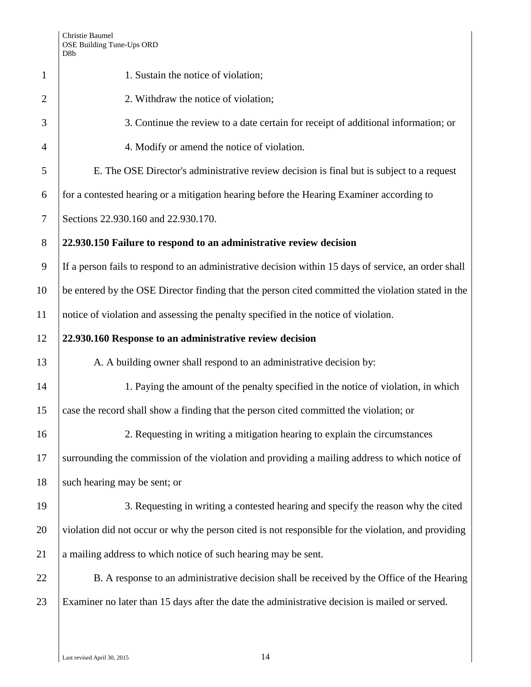| D <sub>8</sub> b                                                                                     |  |  |  |  |
|------------------------------------------------------------------------------------------------------|--|--|--|--|
| 1. Sustain the notice of violation;                                                                  |  |  |  |  |
| 2. Withdraw the notice of violation;                                                                 |  |  |  |  |
| 3. Continue the review to a date certain for receipt of additional information; or                   |  |  |  |  |
| 4. Modify or amend the notice of violation.                                                          |  |  |  |  |
| E. The OSE Director's administrative review decision is final but is subject to a request            |  |  |  |  |
| for a contested hearing or a mitigation hearing before the Hearing Examiner according to             |  |  |  |  |
| Sections 22.930.160 and 22.930.170.                                                                  |  |  |  |  |
| 22.930.150 Failure to respond to an administrative review decision                                   |  |  |  |  |
| If a person fails to respond to an administrative decision within 15 days of service, an order shall |  |  |  |  |
| be entered by the OSE Director finding that the person cited committed the violation stated in the   |  |  |  |  |
| notice of violation and assessing the penalty specified in the notice of violation.                  |  |  |  |  |
| 22.930.160 Response to an administrative review decision                                             |  |  |  |  |
| A. A building owner shall respond to an administrative decision by:                                  |  |  |  |  |
| 1. Paying the amount of the penalty specified in the notice of violation, in which                   |  |  |  |  |
| case the record shall show a finding that the person cited committed the violation; or               |  |  |  |  |
| 2. Requesting in writing a mitigation hearing to explain the circumstances                           |  |  |  |  |
| surrounding the commission of the violation and providing a mailing address to which notice of       |  |  |  |  |
| such hearing may be sent; or                                                                         |  |  |  |  |
| 3. Requesting in writing a contested hearing and specify the reason why the cited                    |  |  |  |  |
| violation did not occur or why the person cited is not responsible for the violation, and providing  |  |  |  |  |
| a mailing address to which notice of such hearing may be sent.                                       |  |  |  |  |
| B. A response to an administrative decision shall be received by the Office of the Hearing           |  |  |  |  |
| Examiner no later than 15 days after the date the administrative decision is mailed or served.       |  |  |  |  |
|                                                                                                      |  |  |  |  |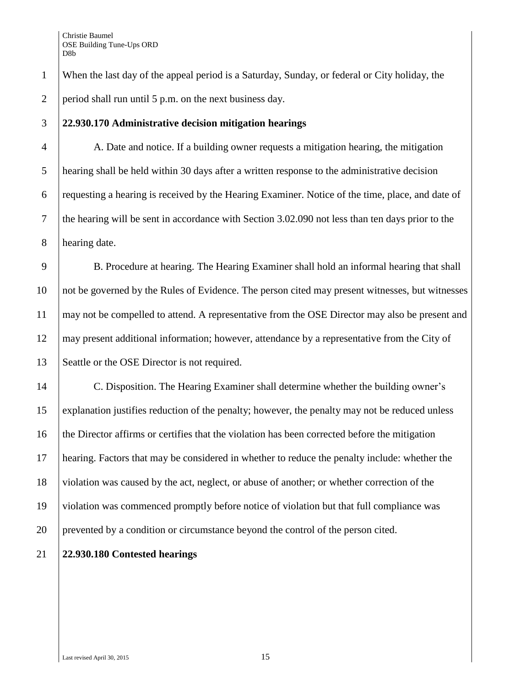When the last day of the appeal period is a Saturday, Sunday, or federal or City holiday, the period shall run until 5 p.m. on the next business day.

#### **22.930.170 Administrative decision mitigation hearings**

 A. Date and notice. If a building owner requests a mitigation hearing, the mitigation hearing shall be held within 30 days after a written response to the administrative decision requesting a hearing is received by the Hearing Examiner. Notice of the time, place, and date of the hearing will be sent in accordance with [Section 3.02.090](https://www.municode.com/library/) not less than ten days prior to the hearing date.

9 B. Procedure at hearing. The Hearing Examiner shall hold an informal hearing that shall not be governed by the Rules of Evidence. The person cited may present witnesses, but witnesses 11 | may not be compelled to attend. A representative from the OSE Director may also be present and may present additional information; however, attendance by a representative from the City of 13 Seattle or the OSE Director is not required.

 C. Disposition. The Hearing Examiner shall determine whether the building owner's explanation justifies reduction of the penalty; however, the penalty may not be reduced unless the Director affirms or certifies that the violation has been corrected before the mitigation hearing. Factors that may be considered in whether to reduce the penalty include: whether the violation was caused by the act, neglect, or abuse of another; or whether correction of the violation was commenced promptly before notice of violation but that full compliance was prevented by a condition or circumstance beyond the control of the person cited.

# **22.930.180 Contested hearings**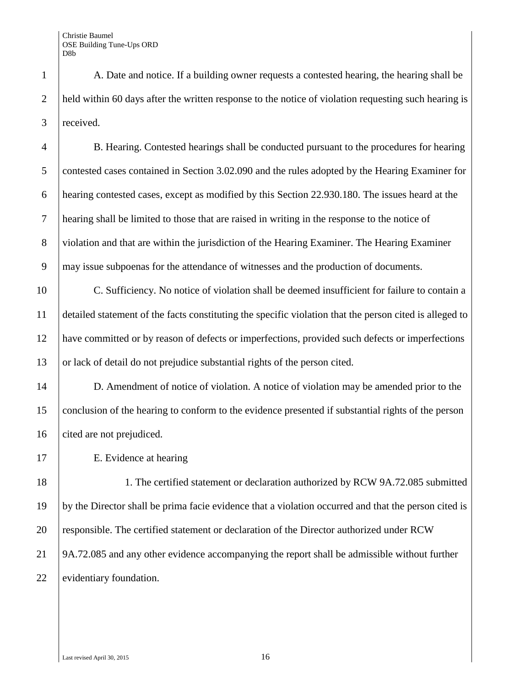1 A. Date and notice. If a building owner requests a contested hearing, the hearing shall be 2 held within 60 days after the written response to the notice of violation requesting such hearing is 3 received.

 B. Hearing. Contested hearings shall be conducted pursuant to the procedures for hearing 5 contested cases contained in [Section 3.02.090](https://www.municode.com/library/) and the rules adopted by the Hearing Examiner for hearing contested cases, except as modified by this Section 22.930.180. The issues heard at the hearing shall be limited to those that are raised in writing in the response to the notice of violation and that are within the jurisdiction of the Hearing Examiner. The Hearing Examiner may issue subpoenas for the attendance of witnesses and the production of documents.

 C. Sufficiency. No notice of violation shall be deemed insufficient for failure to contain a detailed statement of the facts constituting the specific violation that the person cited is alleged to have committed or by reason of defects or imperfections, provided such defects or imperfections 13 or lack of detail do not prejudice substantial rights of the person cited.

14 D. Amendment of notice of violation. A notice of violation may be amended prior to the 15 conclusion of the hearing to conform to the evidence presented if substantial rights of the person 16 cited are not prejudiced.

17 E. Evidence at hearing

18 1. The certified statement or declaration authorized by RCW 9A.72.085 submitted 19 by the Director shall be prima facie evidence that a violation occurred and that the person cited is 20 responsible. The certified statement or declaration of the Director authorized under RCW 21 9A.72.085 and any other evidence accompanying the report shall be admissible without further 22 evidentiary foundation.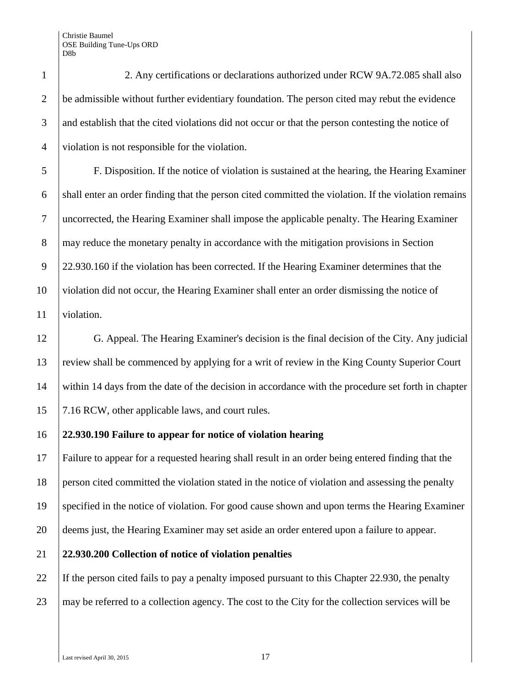2. Any certifications or declarations authorized under RCW 9A.72.085 shall also 2 be admissible without further evidentiary foundation. The person cited may rebut the evidence 3 and establish that the cited violations did not occur or that the person contesting the notice of violation is not responsible for the violation.

 F. Disposition. If the notice of violation is sustained at the hearing, the Hearing Examiner shall enter an order finding that the person cited committed the violation. If the violation remains uncorrected, the Hearing Examiner shall impose the applicable penalty. The Hearing Examiner 8 may reduce the monetary penalty in accordance with the mitigation provisions in Section [22.930.160](https://www.municode.com/library/) if the violation has been corrected. If the Hearing Examiner determines that the violation did not occur, the Hearing Examiner shall enter an order dismissing the notice of 11 violation.

 G. Appeal. The Hearing Examiner's decision is the final decision of the City. Any judicial review shall be commenced by applying for a writ of review in the King County Superior Court within 14 days from the date of the decision in accordance with the procedure set forth in chapter 15 7.16 RCW, other applicable laws, and court rules.

# **22.930.190 Failure to appear for notice of violation hearing**

 Failure to appear for a requested hearing shall result in an order being entered finding that the person cited committed the violation stated in the notice of violation and assessing the penalty specified in the notice of violation. For good cause shown and upon terms the Hearing Examiner deems just, the Hearing Examiner may set aside an order entered upon a failure to appear.

# **22.930.200 Collection of notice of violation penalties**

 If the person cited fails to pay a penalty imposed pursuant to this Chapter 22.930, the penalty 23 may be referred to a collection agency. The cost to the City for the collection services will be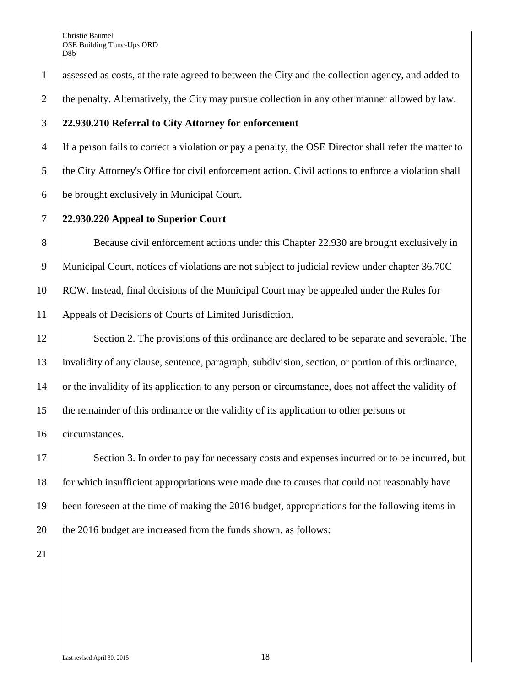1 assessed as costs, at the rate agreed to between the City and the collection agency, and added to 2 the penalty. Alternatively, the City may pursue collection in any other manner allowed by law.

#### 3 **22.930.210 Referral to City Attorney for enforcement**

4 If a person fails to correct a violation or pay a penalty, the OSE Director shall refer the matter to 5 the City Attorney's Office for civil enforcement action. Civil actions to enforce a violation shall 6 be brought exclusively in Municipal Court.

# 7 **22.930.220 Appeal to Superior Court**

8 Because civil enforcement actions under this Chapter 22.930 are brought exclusively in Municipal Court, notices of violations are not subject to judicial review under chapter 36.70C RCW. Instead, final decisions of the Municipal Court may be appealed under the Rules for Appeals of Decisions of Courts of Limited Jurisdiction.

12 Section 2. The provisions of this ordinance are declared to be separate and severable. The 13 invalidity of any clause, sentence, paragraph, subdivision, section, or portion of this ordinance, 14 or the invalidity of its application to any person or circumstance, does not affect the validity of 15 the remainder of this ordinance or the validity of its application to other persons or 16 circumstances.

17 Section 3. In order to pay for necessary costs and expenses incurred or to be incurred, but for which insufficient appropriations were made due to causes that could not reasonably have been foreseen at the time of making the 2016 budget, appropriations for the following items in  $\parallel$  the 2016 budget are increased from the funds shown, as follows:

21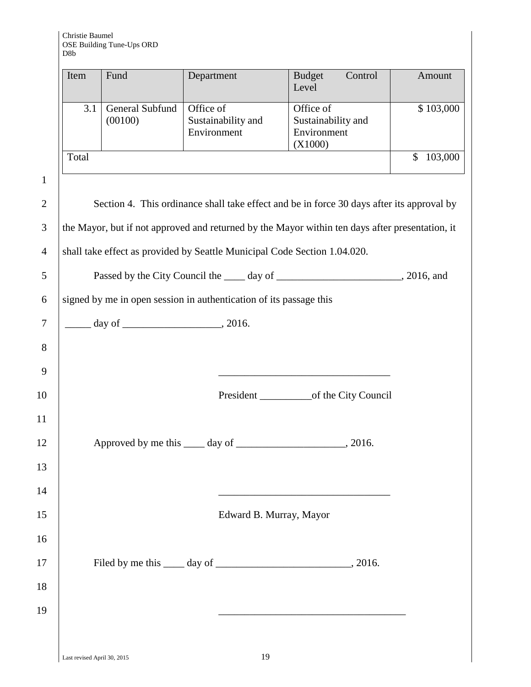| Item  | Fund                       | Department                                     | <b>Budget</b><br>Control<br>Level                         | Amount    |
|-------|----------------------------|------------------------------------------------|-----------------------------------------------------------|-----------|
| 3.1   | General Subfund<br>(00100) | Office of<br>Sustainability and<br>Environment | Office of<br>Sustainability and<br>Environment<br>(X1000) | \$103,000 |
| Total |                            |                                                |                                                           | 103,000   |

 $1$ 

| $\overline{2}$ | Section 4. This ordinance shall take effect and be in force 30 days after its approval by                             |  |
|----------------|-----------------------------------------------------------------------------------------------------------------------|--|
| $\overline{3}$ | the Mayor, but if not approved and returned by the Mayor within ten days after presentation, it                       |  |
| $\overline{4}$ | shall take effect as provided by Seattle Municipal Code Section 1.04.020.                                             |  |
| 5              |                                                                                                                       |  |
| 6              | signed by me in open session in authentication of its passage this                                                    |  |
| $\overline{7}$ |                                                                                                                       |  |
| 8              |                                                                                                                       |  |
| 9              |                                                                                                                       |  |
| 10             |                                                                                                                       |  |
| 11             |                                                                                                                       |  |
| 12             |                                                                                                                       |  |
| 13             |                                                                                                                       |  |
| 14             | <u> 1989 - Johann Barn, mars ann an t-Amhair an t-Amhair an t-Amhair an t-Amhair an t-Amhair an t-Amhair an t-Amh</u> |  |
| 15             | Edward B. Murray, Mayor                                                                                               |  |
| 16             |                                                                                                                       |  |
| 17             |                                                                                                                       |  |
| 18             |                                                                                                                       |  |
| 19             |                                                                                                                       |  |
|                |                                                                                                                       |  |